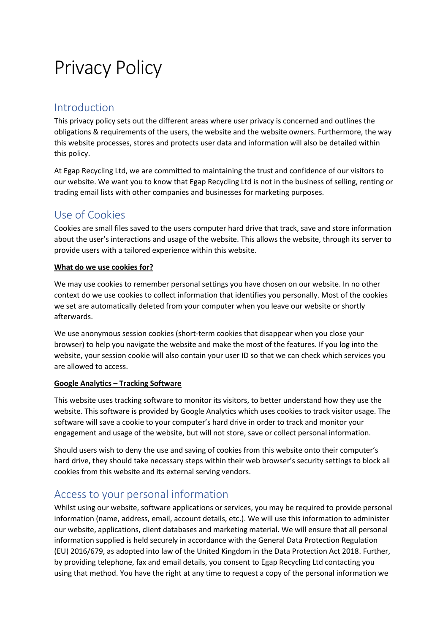# Privacy Policy

## Introduction

This privacy policy sets out the different areas where user privacy is concerned and outlines the obligations & requirements of the users, the website and the website owners. Furthermore, the way this website processes, stores and protects user data and information will also be detailed within this policy.

At Egap Recycling Ltd, we are committed to maintaining the trust and confidence of our visitors to our website. We want you to know that Egap Recycling Ltd is not in the business of selling, renting or trading email lists with other companies and businesses for marketing purposes.

## Use of Cookies

Cookies are small files saved to the users computer hard drive that track, save and store information about the user's interactions and usage of the website. This allows the website, through its server to provide users with a tailored experience within this website.

#### **What do we use cookies for?**

We may use cookies to remember personal settings you have chosen on our website. In no other context do we use cookies to collect information that identifies you personally. Most of the cookies we set are automatically deleted from your computer when you leave our website or shortly afterwards.

We use anonymous session cookies (short-term cookies that disappear when you close your browser) to help you navigate the website and make the most of the features. If you log into the website, your session cookie will also contain your user ID so that we can check which services you are allowed to access.

#### **Google Analytics – Tracking Software**

This website uses tracking software to monitor its visitors, to better understand how they use the website. This software is provided by Google Analytics which uses cookies to track visitor usage. The software will save a cookie to your computer's hard drive in order to track and monitor your engagement and usage of the website, but will not store, save or collect personal information.

Should users wish to deny the use and saving of cookies from this website onto their computer's hard drive, they should take necessary steps within their web browser's security settings to block all cookies from this website and its external serving vendors.

## Access to your personal information

Whilst using our website, software applications or services, you may be required to provide personal information (name, address, email, account details, etc.). We will use this information to administer our website, applications, client databases and marketing material. We will ensure that all personal information supplied is held securely in accordance with the General Data Protection Regulation (EU) 2016/679, as adopted into law of the United Kingdom in the Data Protection Act 2018. Further, by providing telephone, fax and email details, you consent to Egap Recycling Ltd contacting you using that method. You have the right at any time to request a copy of the personal information we